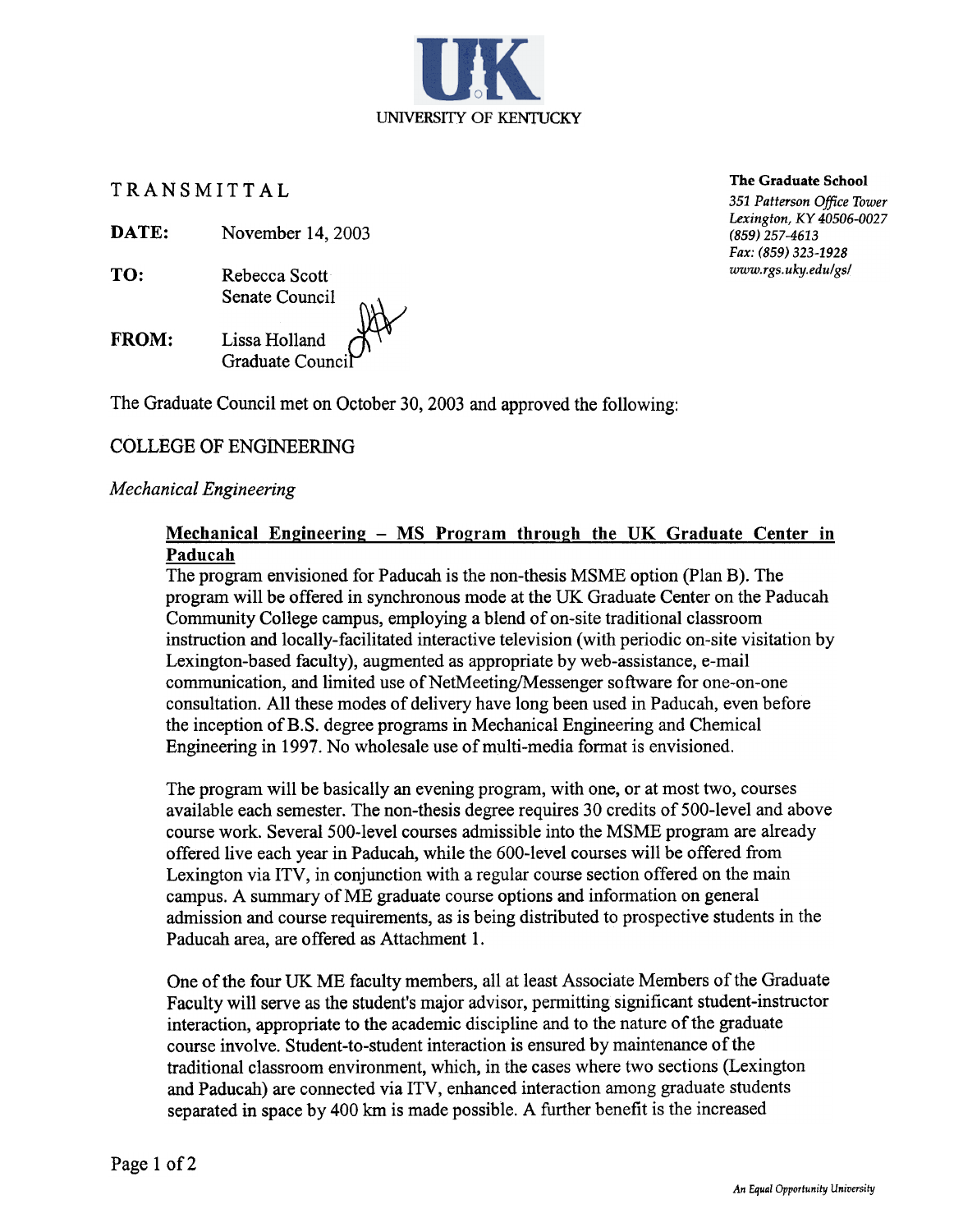TRANSMITTAL

DATE: November 14, 2003

- TO: Rebecca Scott Senate Council
- Lissa Holland Graduate Counci FROM:

The Graduate Council met on October 30, 2003 and approved the following:

#### COLLEGE OF ENGINEERING

#### Mechanical Engineering

#### Mechanical Engineering  $-$  MS Program through the UK Graduate Center in Paducah

The program envisioned for Paducah is the non-thesis MSME option (Plan B). The program will be offered in synchronous mode at the UK Graduate Center on the Paducah Community College campus, employing a blend of on-site traditional classroom instruction and locally-facilitated interactive television (with periodic on-site visitation by Lexington-based faculty), augmented as appropriate by web-assistance, e-mail communication, and limited use of NetMeeting/Messenger software for one-on-one consultation. All these modes of delivery have long been used in Paducah, even before the inception of B.S. degree programs in Mechanical Engineering and Chemical Engineering in 1997. No wholesale use of multi-media format is envisioned.

The program will be basically an evening program, with one, or at most two, courses available each semester. The non-thesis degree requires 30 credits of 500-level and above course work. Several 500-level courses admissible into the MSME program are already offered live each year in Paducah, while the 600-level courses will be offered from Lexington via ITV, in conjunction with a regular course section offered on the main campus. A summary of ME graduate course options and information on general admission and course requirements, as is being distributed to prospective students in the Paducah area, are offered as Attachment 1.

One of the four UK ME faculty members, all at least Associate Members of the Graduate Faculty will serve as the student's major advisor, permitting significant student-instructor interaction, appropriate to the academic discipline and to the nature of the graduate course involve. Student-to-student interaction is ensured by maintenance of the traditional classroom environment, which, in the cases where two sections (Lexington and Paducah) are connected via ITV, enhanced interaction among graduate students separated in space by 400 km is made possible. A further benefit is the increased

The Graduate School

351 Patterson Office Tower Lexington, KY 40506-0027 (859) 257-4613 Fax: (859) 323-1928 www.rgs.uky.edu/gs/

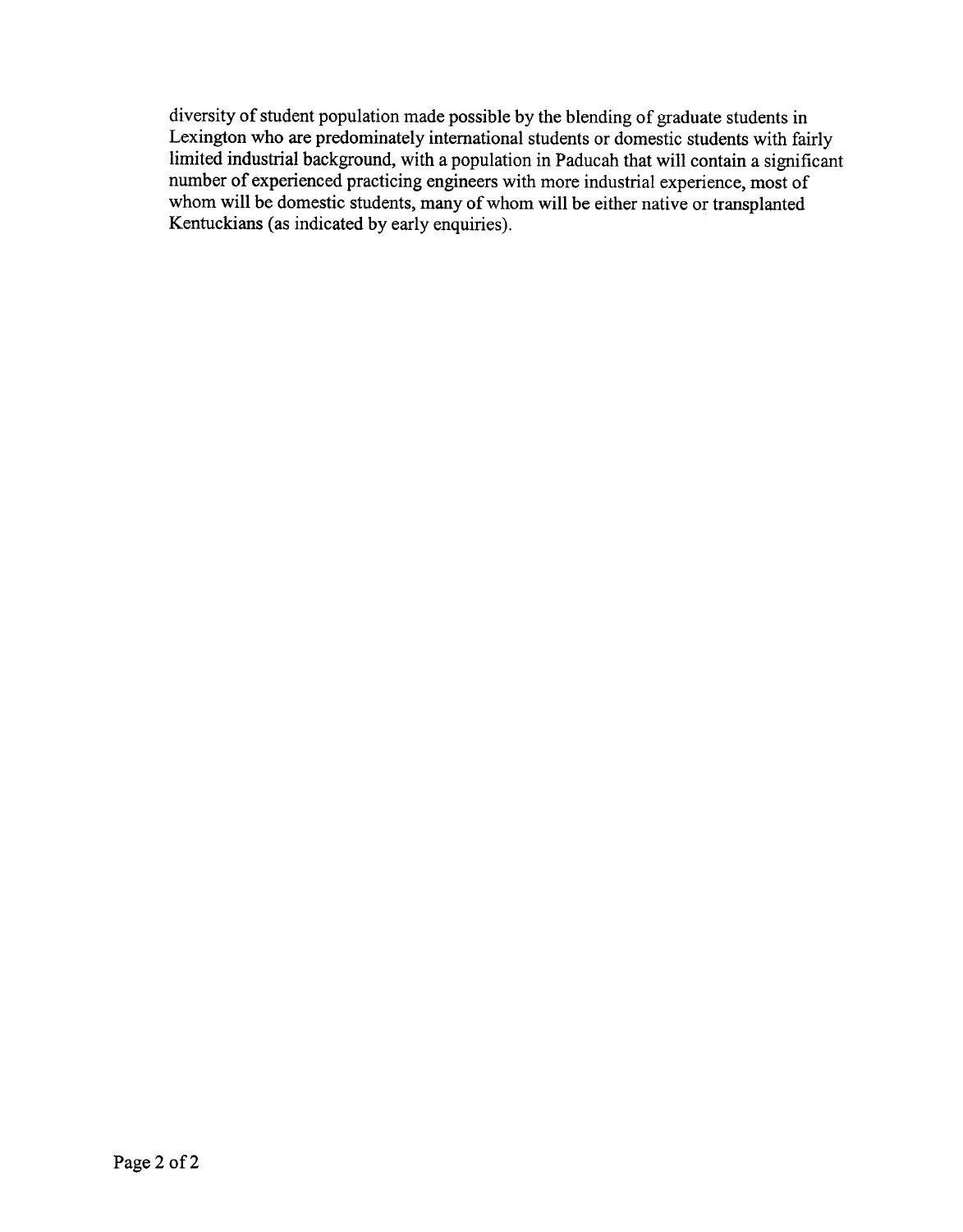diversity of student population made possible by the blending of graduate students in Lexington who are predominately international students or domestic students with fairly limited industrial background, with a population in Paducah that will contain a significant number of experienced practicing engineers with more industrial experience, most of whom will be domestic students, many of whom will be either native or transplanted Kentuckians (as indicated by early enquiries).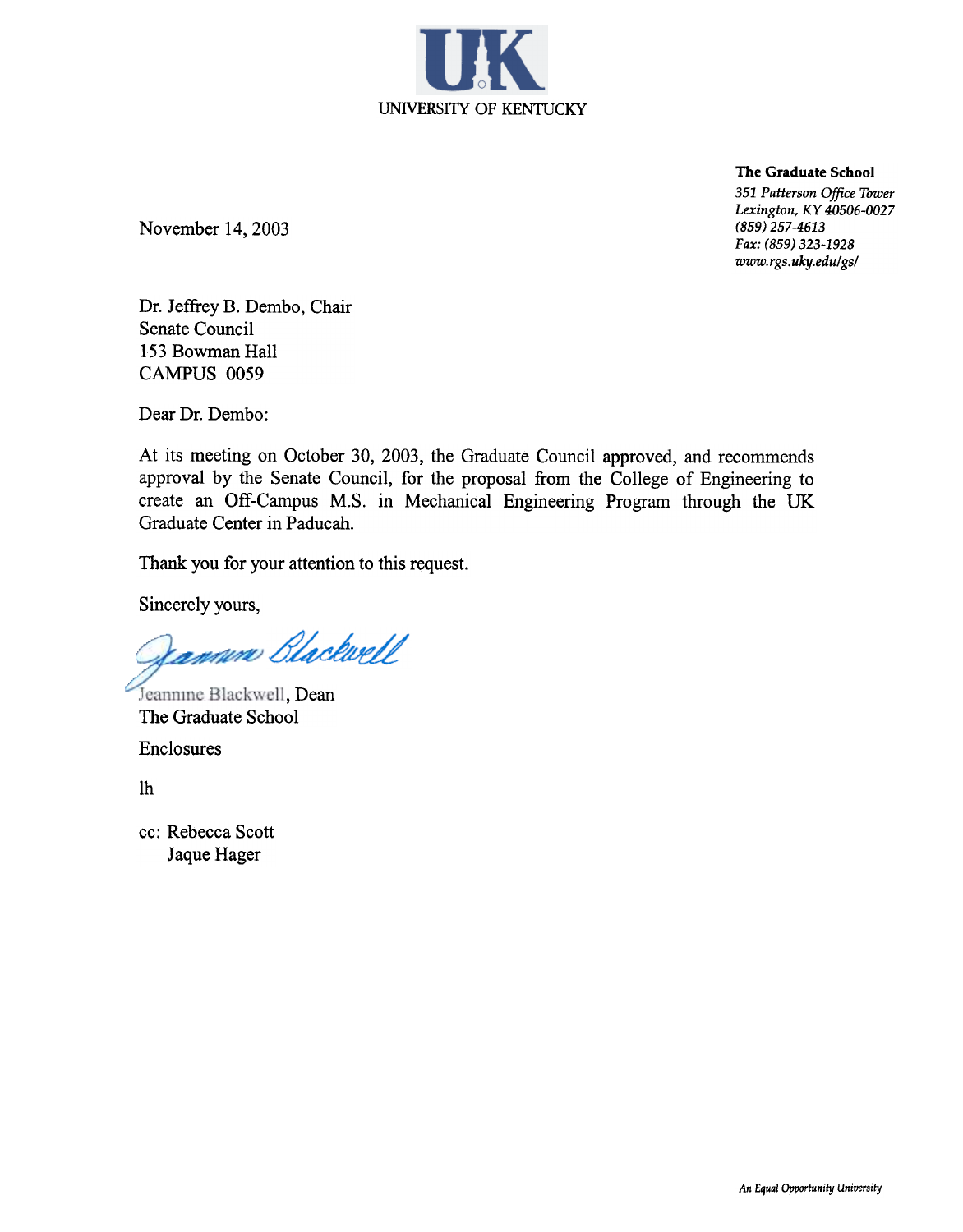

The Graduate School

351 Patterson Office Tower Lexington, KY 40506-0027 (859) 257-4613 Fax: (859) 323-1928 www.rgs.uky.edu/gs/

November 14,2003

Dr. Jeffrey B. Dembo, Chair Senate Council 153 Bowman Hall CAMPUS 0059

Dear Dr. Dembo:

At its meeting on October 30, 2003, the Graduate Council approved, and recommends approval by the Senate Council, for the proposal from the College of Engineering to create an Off-Campus M.S. in Mechanical Engineering Program through the UK Graduate Center in Paducah.

Thank you for your attention to this request.

Sincerely yours,

Kamune Blackwell

Jeannine Blackwell, Dean The Graduate School Enclosures

Ih

cc: Rebecca Scott Jaque Hager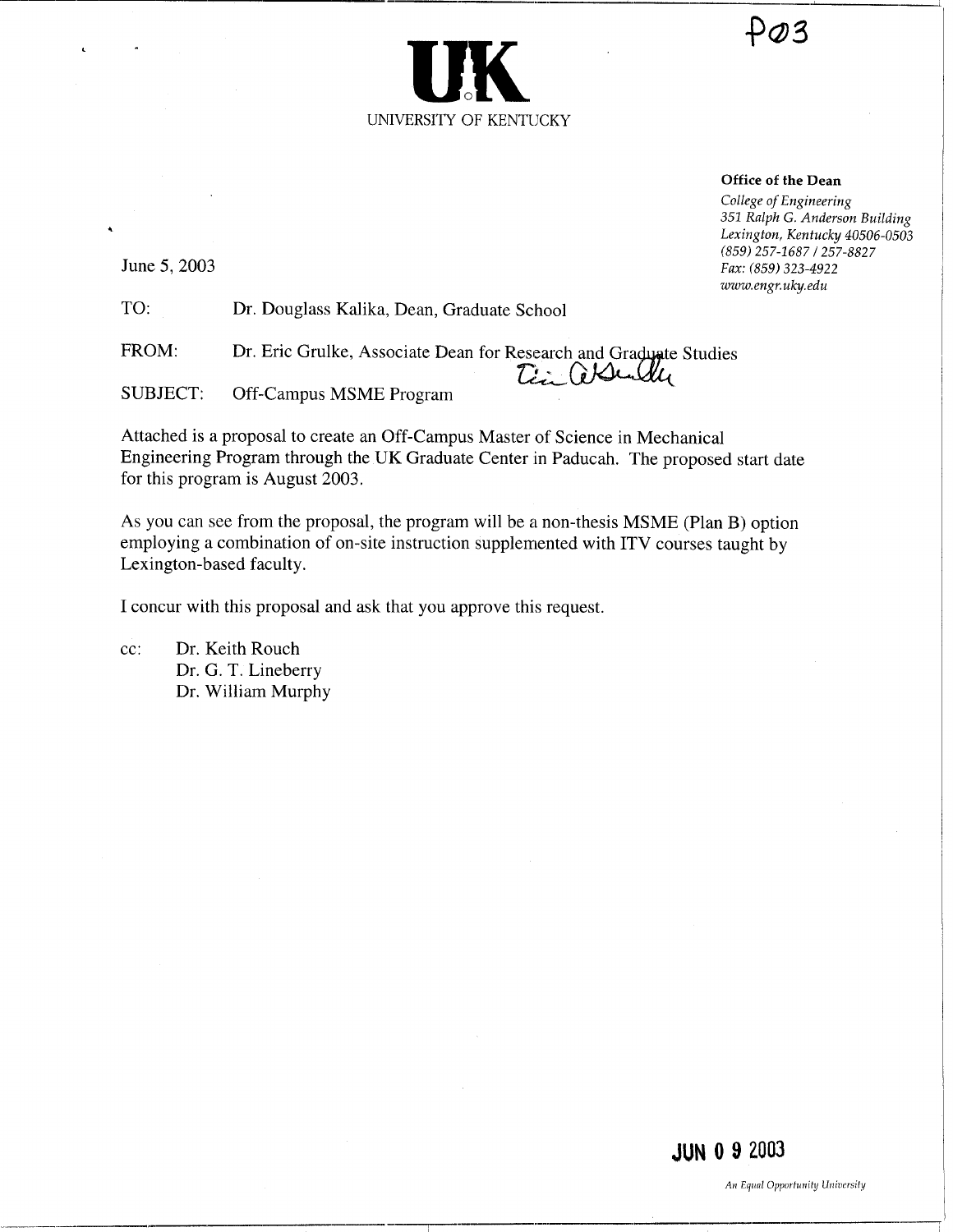

# $PO3$

#### Office of the Dean

College of Engineering 351 Ralph G. Anderson Building Lexington, Kentucky 40506-0503 (859) 257-1687 / 257-8827 Fax: (859) 323-4922 www.engr.uky.edu

June 5, 2003

 

TO: Dr. Douglass Kalika, Dean, Graduate School

FROM: Dr. Eric Grulke, Associate Dean for Research and Gra Tin assulter

SUBJECT: Off-Campus MSME Program

Attached is a proposal to create an Off-Campus Master of Science in Mechanical Engineering Program through the UK Graduate Center in Paducah . The proposed start date for this program is August 2003.

As you can see from the proposal, the program will be a non-thesis MSME (Plan B) option employing a combination of on-site instruction supplemented with ITV courses taught by Lexington-based faculty.

I concur with this proposal and ask that you approve this request.

cc: Dr. Keith Rouch Dr. G. T. Lineberry Dr. William Murphy

JUN 0 9 2003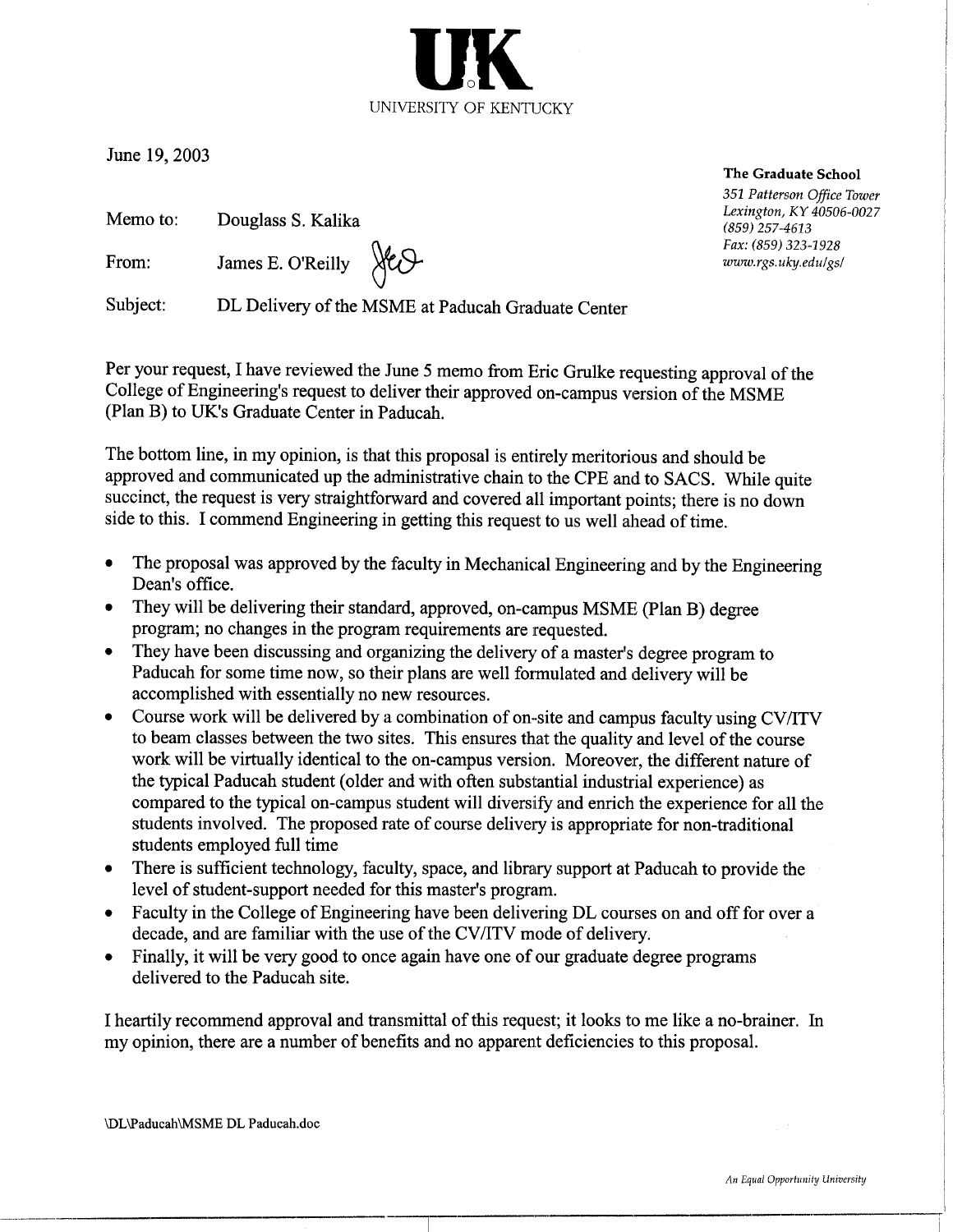

June 19, 2003

| Memo to: | Douglass S. Kalika |  |
|----------|--------------------|--|
|----------|--------------------|--|

From: James E. O'Reilly

Subject: DL Delivery of the MSME at Paducah Graduate Center

Ste O

Per your request, I have reviewed the June 5 memo from Eric Grulke requesting approval of the College of Engineering's request to deliver their approved on-campus version of the MSME (Plan B) to UK's Graduate Center in Paducah.

The bottom line, in my opinion, is that this proposal is entirely meritorious and should be approved and communicated up the administrative chain to the CPE and to SACS. While quite succinct, the request is very straightforward and covered all important points; there is no down side to this. I commend Engineering in getting this request to us well ahead of time.

- The proposal was approved by the faculty in Mechanical Engineering and by the Engineering Dean's office.
- They will be delivering their standard, approved, on-campus MSME (Plan B) degree program; no changes in the program requirements are requested .
- They have been discussing and organizing the delivery of a master's degree program to Paducah for some time now, so their plans are well formulated and delivery will be accomplished with essentially no new resources .
- $\bullet$  Course work will be delivered by a combination of on-site and campus faculty using CV/ITV to beam classes between the two sites. This ensures that the quality and level of the course work will be virtually identical to the on-campus version. Moreover, the different nature of the typical Paducah student (older and with often substantial industrial experience) as compared to the typical on-campus student will diversify and enrich the experience for all the students involved. The proposed rate of course delivery is appropriate for non-traditional students employed full time
- There is sufficient technology, faculty, space, and library support at Paducah to provide the level of student-support needed for this master's program .
- Faculty in the College of Engineering have been delivering DL courses on and off for over a decade, and are familiar with the use of the CV/ITV mode of delivery.
- Finally, it will be very good to once again have one of our graduate degree programs delivered to the Paducah site.

I heartily recommend approval and transmittal of this request; it looks to me like a no-brainer. In my opinion, there are a number of benefits and no apparent deficiencies to this proposal.

\DL\Paducah\MSME DL Paducah.doc

The Graduate School 351 Patterson Office Tower Lexington, KY 40506-0027 (859) 257-4613 Fax: (859) 323-1928 www.rgs .uky.edu/gs/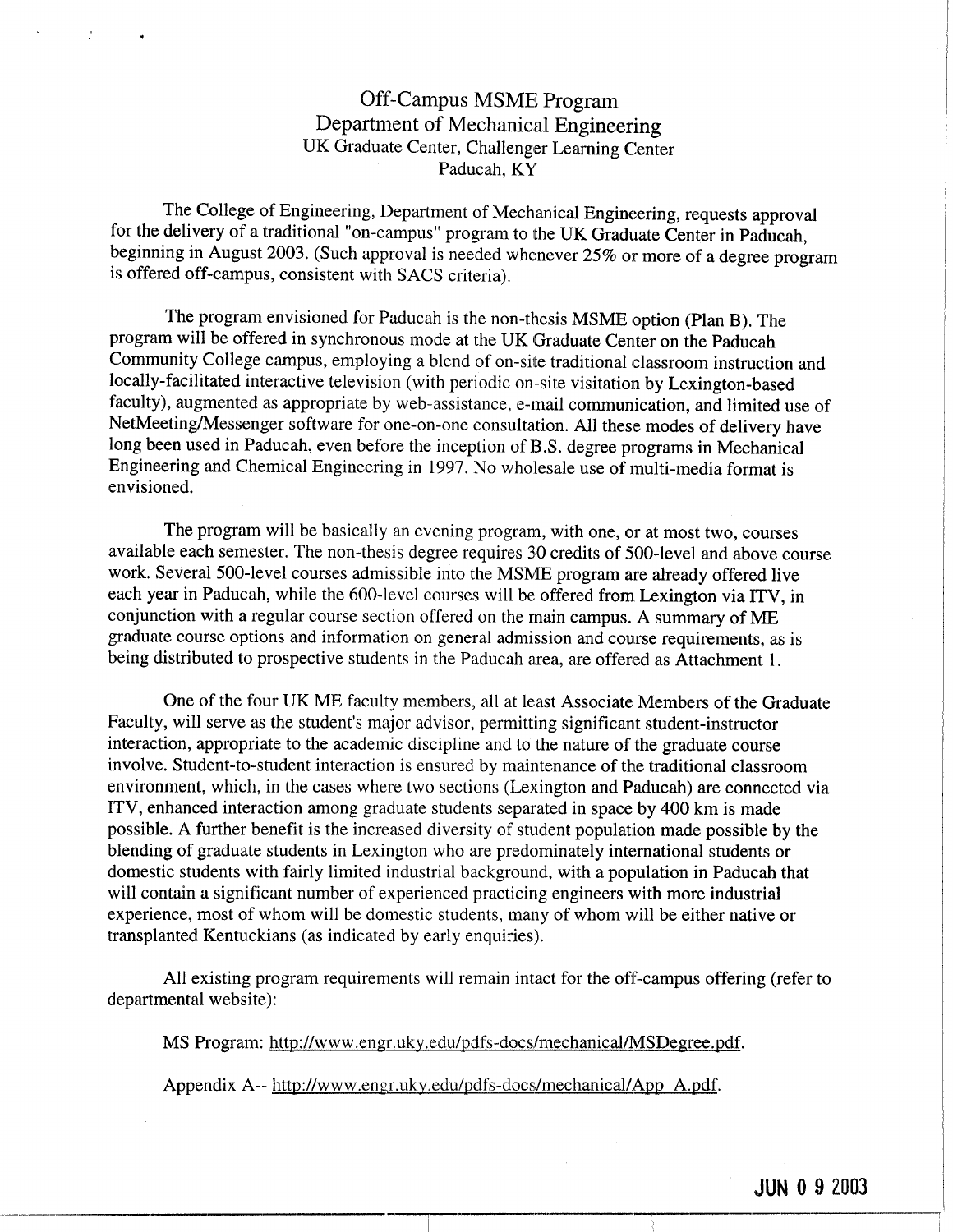## Off-Campus MSME Program Department of Mechanical Engineering UK Graduate Center, Challenger Learning Center Paducah, KY

The College of Engineering, Department of Mechanical Engineering, requests approval for the delivery of a traditional "on-campus" program to the UK Graduate Center in Paducah, beginning in August 2003. (Such approval is needed whenever 25% or more of a degree program is offered off-campus, consistent with SACS criteria).

The program envisioned for Paducah is the non-thesis MSME option (Plan B). The program will be offered in synchronous mode at the UK Graduate Center on the Paducah Community College campus, employing a blend of on-site traditional classroom instruction and locally-facilitated interactive television (with periodic on-site visitation by Lexington-based faculty), augmented as appropriate by web-assistance, e-mail communication, and limited use of NetMeeting/Messenger software for one-on-one consultation . All these modes of delivery have long been used in Paducah, even before the inception of B.S. degree programs in Mechanical Engineering and Chemical Engineering in 1997 . No wholesale use of multi-media format is envisioned.

The program will be basically an evening program, with one, or at most two, courses available each semester. The non-thesis degree requires 30 credits of 500-level and above course work. Several 500-level courses admissible into the MSME program are already offered live each year in Paducah, while the 600-level courses will be offered from Lexington via ITV, in conjunction with a regular course section offered on the main campus . A summary of ME graduate course options and information on general admission and course requirements, as is being distributed to prospective students in the Paducah area, are offered as Attachment 1.

One of the four UK ME faculty members, all at least Associate Members of the Graduate Faculty, will serve as the student's major advisor, permitting significant student-instructor interaction, appropriate to the academic discipline and to the nature of the graduate course involve. Student-to-student interaction is ensured by maintenance of the traditional classroom environment, which, in the cases where two sections (Lexington and Paducah) are connected via ITV, enhanced interaction among graduate students separated in space by 400 km is made possible . A further benefit is the increased diversity of student population made possible by the blending of graduate students in Lexington who are predominately international students or domestic students with fairly limited industrial background, with a population in Paducah that will contain a significant number of experienced practicing engineers with more industrial experience, most of whom will be domestic students, many of whom will be either native or transplanted Kentuckians (as indicated by early enquiries) .

All existing program requirements will remain intact for the off-campus offering (refer to departmental website):

MS Program: http://www.engr.uky.edu/pdfs-docs/mechanical/MSDegree.pdf.

Appendix A-- http://www.engr.uky.edu/pdfs-docs/mechanical/App\_A.pdf.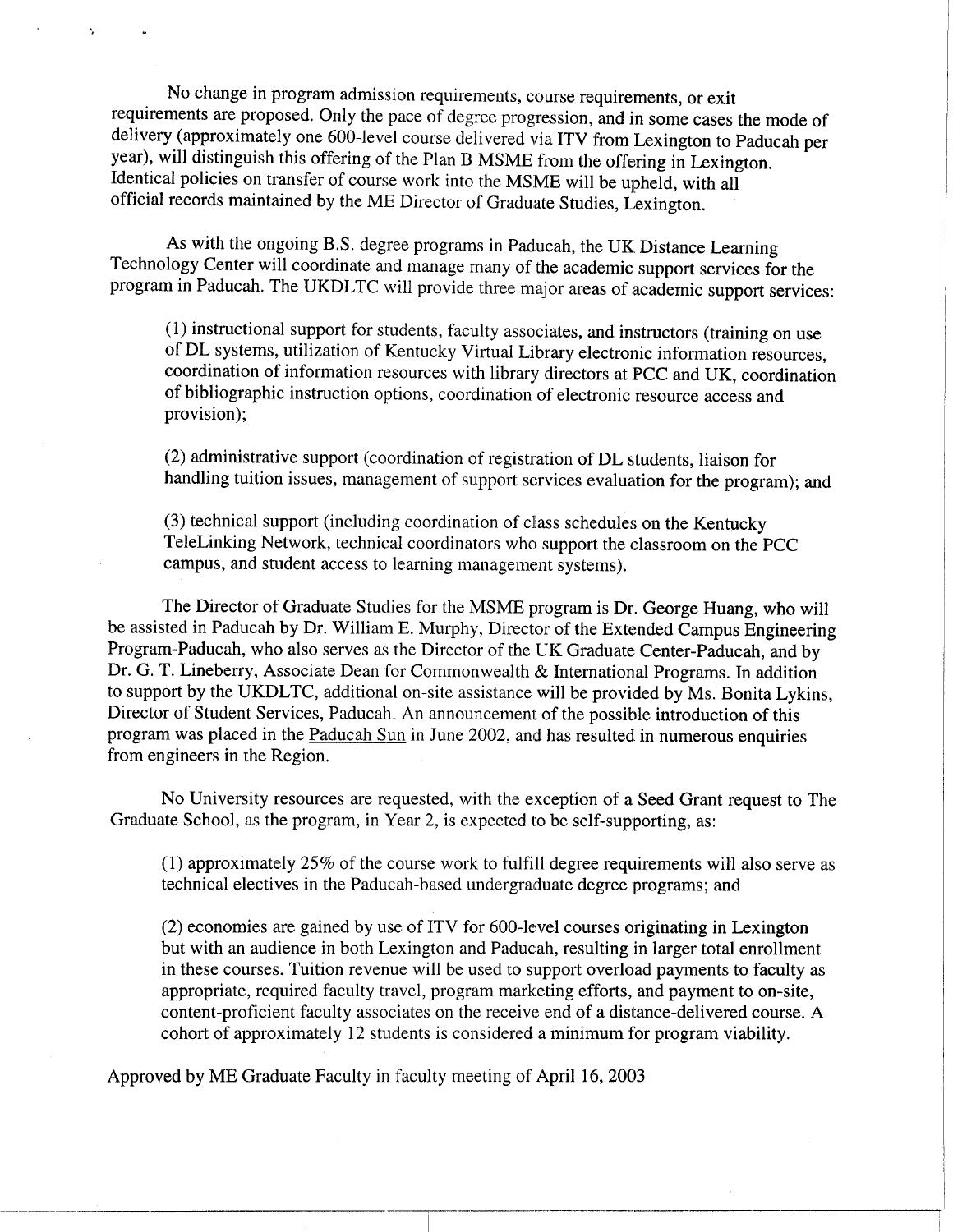No change in program admission requirements, course requirements, or exit requirements are proposed. Only the pace of degree progression, and in some cases the mode of delivery (approximately one 600-level course delivered via ITV from Lexington to Paducah per year), will distinguish this offering of the Plan B MSME from the offering in Lexington. Identical policies on transfer of course work into the MSME will be upheld, with all official records maintained by the ME Director of Graduate Studies, Lexington .

As with the ongoing B.S. degree programs in Paducah, the UK Distance Learning Technology Center will coordinate and manage many of the academic support services for the program in Paducah. The UKDLTC will provide three major areas of academic support services:

(1) instructional support for students, faculty associates, and instructors (training on use of DL systems, utilization of Kentucky Virtual Library electronic information resources, coordination of information resources with library directors at PCC and UK, coordination of bibliographic instruction options, coordination of electronic resource access and provision);

(2) administrative support (coordination of registration of DL students, liaison for handling tuition issues, management of support services evaluation for the program); and

(3) technical support (including coordination of class schedules on the Kentucky TeleLinking Network, technical coordinators who support the classroom on the PCC campus, and student access to learning management systems) .

The Director of Graduate Studies for the MSME program is Dr. George Huang, who will be assisted in Paducah by Dr. William E. Murphy, Director of the Extended Campus Engineering Program-Paducah, who also serves as the Director of the UK Graduate Center-Paducah, and by Dr. G. T. Lineberry, Associate Dean for Commonwealth & International Programs. In addition to support by the UKDLTC, additional on-site assistance will be provided by Ms. Bonita Lykins, Director of Student Services, Paducah. An announcement of the possible introduction of this program was placed in the Paducah Sun in June 2002, and has resulted in numerous enquiries from engineers in the Region.

No University resources are requested, with the exception of a Seed Grant request to The Graduate School, as the program, in Year 2, is expected to be self-supporting, as:

(1) approximately 25% of the course work to fulfill degree requirements will also serve as technical electives in the Paducah-based undergraduate degree programs; and

(2) economies are gained by use of ITV for 600-level courses originating in Lexington but with an audience in both Lexington and Paducah, resulting in larger total enrollment in these courses. Tuition revenue will be used to support overload payments to faculty as appropriate, required faculty travel, program marketing efforts, and payment to on-site, content-proficient faculty associates on the receive end of a distance-delivered course . A cohort of approximately 12 students is considered a minimum for program viability .

Approved by ME Graduate Faculty in faculty meeting of April 16, 2003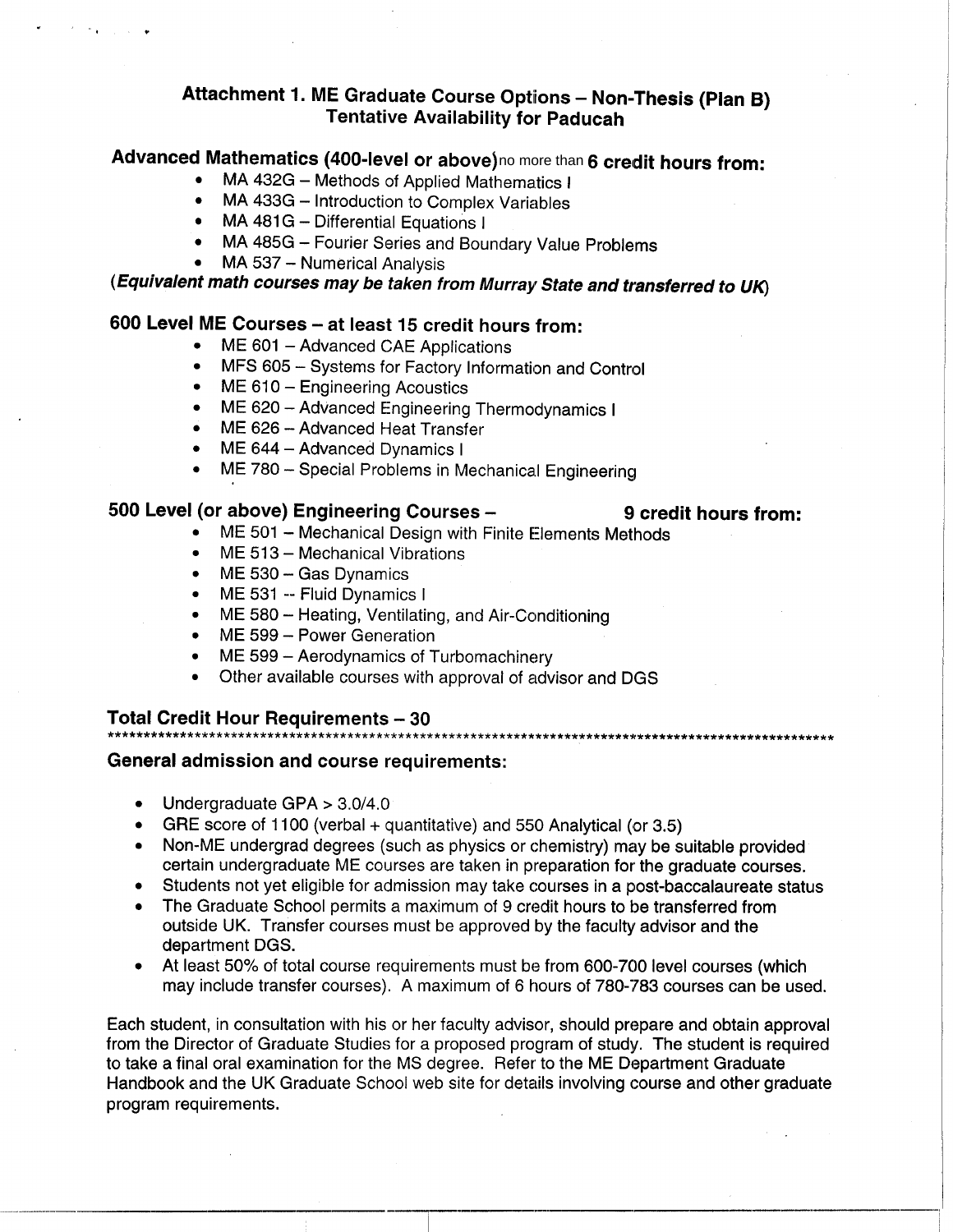# Attachment 1. ME Graduate Course Options - Non-Thesis (Plan B) Tentative Availability for Paducah

# Advanced Mathematics (400-level or above) no more than 6 credit hours and included than

- MA 432G Methods of Applied Mathematics I
- MA 433G Introduction to Complex Variables
- MA 481G Differential Equations I
- MA 485G Fourier Series and Boundary Value Problems
- MA 537 Numerical Analysis

 

 

(Equivalent math courses may be taken from Murray State and transferred to UK)

## 600 Level ME Courses - at least 15 credit hours from:

- ME 601 Advanced CAE Applications
- MFS 605 Systems for Factory Information and Control
- ME 610 Engineering Acoustics
- ME 620 Advanced Engineering Thermodynamics I
- ME 626 Advanced Heat Transfer
- ME 644 Advanced Dynamics I
- ME 780 Special Problems in Mechanical Engineering

#### 500 Level (or above) Engineering Courses -

- 9 credit hours from: • ME 501 - Mechanical Design with Finite Elements Methods
- ME 513 Mechanical Vibrations
- ME 530 Gas Dynamics
- ME 531 -- Fluid Dynamics I
- ME 580 Heating, Ventilating, and Air-Conditioning
- ME 599 Power Generation
- ME 599 Aerodynamics of Turbomachinery
- Other available courses with approval of advisor and DGS

#### Total Credit Hour Requirements - 30

# General admission and course requirements :

- Undergraduate GPA > 3 .0/4 .0
- GRE score of 1100 (verbal  $+$  quantitative) and 550 Analytical (or 3.5)
- Non-ME undergrad degrees (such as physics or chemistry) may be suitable provided certain undergraduate ME courses are taken in preparation for the graduate courses.
- Students not yet eligible for admission may take courses in a post-baccalaureate status
- The Graduate School permits a maximum of 9 credit hours to be transferred from outside UK . Transfer courses must be approved by the faculty advisor and the department DGS.
- At least 50% of total course requirements must be from 600-700 level courses (which may include transfer courses). A maximum of 6 hours of 780-783 courses can be used.

Each student, in consultation with his or her faculty advisor, should prepare and obtain approval from the Director of Graduate Studies for a proposed program of study . The student is required to take a final oral examination for the MS degree. Refer to the ME Department Graduate Handbook and the UK Graduate School web site for details involving course and other graduate program requirements .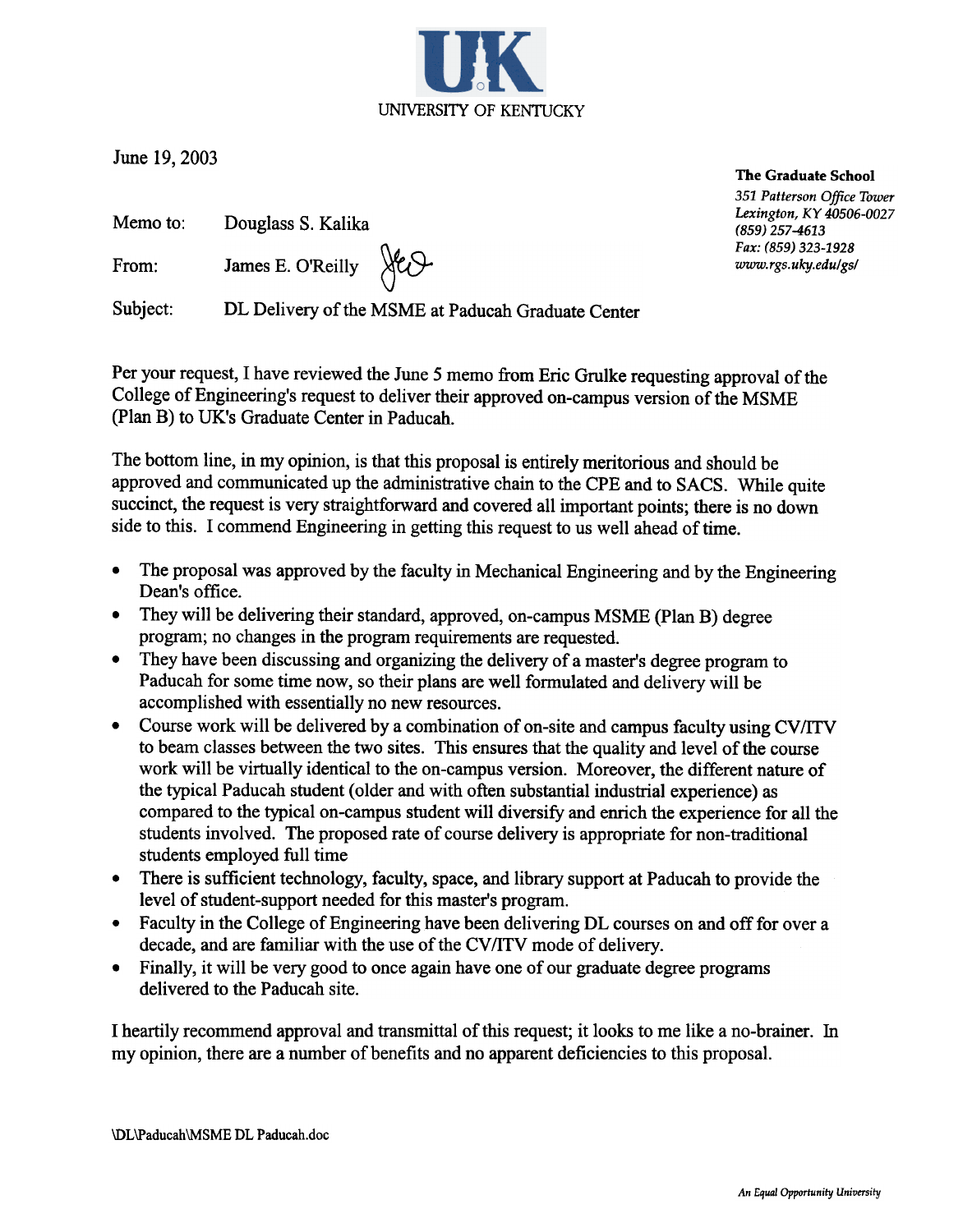June 19,2003

Memo to: Douglass S. Kalika

From: James E. O'Reilly  $\forall c$ 

Subject: DL Delivery of the MSME at Paducah Graduate Center

Per your request, I have reviewed the June 5 memo from Eric Grulke requesting approval of the College of Engineering's request to deliver their approved on-campus version of the MSME (plan B) to UK's Graduate Center in Paducah.

The bottom line, in my opinion, is that this proposal is entirely meritorious and should be approved and communicated up the administrative chain to the CPE and to SACS. While quite succinct, the request is very straightforward and covered all important points; there is no down side to this. I commend Engineering in getting this request to us well ahead of time.

- The proposal was approved by the faculty in Mechanical Engineering and by the Engineering  $\bullet$ Dean's office.
- They will be delivering their standard, approved, on-campus MSME (Plan B) degree  $\bullet$ program; no changes in the program requirements are requested.
- They have been discussing and organizing the delivery of a master's degree program to  $\bullet$ Paducah for some time now, so their plans are well formulated and delivery will be accomplished with essentially no new resources.
- Course work will be delivered by a combination of on-site and campus faculty using CV/ITV  $\bullet$ to beam classes between the two sites. This ensures that the quality and level of the course work will be virtually identical to the on-campus version. Moreover, the different nature of the typical Paducah student (older and with often substantial industrial experience) as compared to the typical on-campus student will diversify and enrich the experience for all the students involved. The proposed rate of course delivery is appropriate for non-traditional students employed full time
- There is sufficient technology, faculty, space, and library support at Paducah to provide the  $\bullet$ level of student-support needed for this master's program.
- Faculty in the College of Engineering have been delivering DL courses on and off for over a  $\bullet$ decade, and are familiar with the use of the CV/ITV mode of delivery.
- Finally, it will be very good to once again have one of our graduate degree programs  $\bullet$ delivered to the Paducah site.

I heartily recommend approval and transmittal of this request; it looks to me like a no-brainer. In my opinion, there are a number of benefits and no apparent deficiencies to this proposal.

The Graduate School 351 Patterson Office Tower Lexington, KY 40506-0027 (859) 257-4613 Fax: (859) 323-1928 www.rgs.uky.edu/gs/